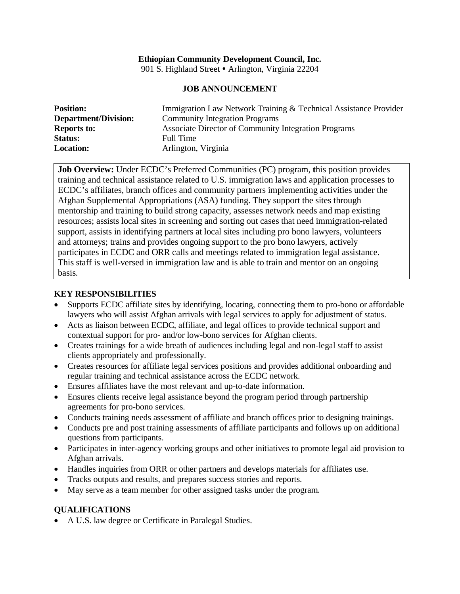# **Ethiopian Community Development Council, Inc.**

901 S. Highland Street • Arlington, Virginia 22204

### **JOB ANNOUNCEMENT**

| <b>Position:</b>            | Immigration Law Network Training & Technical Assistance Provider |
|-----------------------------|------------------------------------------------------------------|
| <b>Department/Division:</b> | <b>Community Integration Programs</b>                            |
| <b>Reports to:</b>          | Associate Director of Community Integration Programs             |
| <b>Status:</b>              | Full Time                                                        |
| <b>Location:</b>            | Arlington, Virginia                                              |

**Job Overview:** Under ECDC's Preferred Communities (PC) program, **t**his position provides training and technical assistance related to U.S. immigration laws and application processes to ECDC's affiliates, branch offices and community partners implementing activities under the Afghan Supplemental Appropriations (ASA) funding. They support the sites through mentorship and training to build strong capacity, assesses network needs and map existing resources; assists local sites in screening and sorting out cases that need immigration-related support, assists in identifying partners at local sites including pro bono lawyers, volunteers and attorneys; trains and provides ongoing support to the pro bono lawyers, actively participates in ECDC and ORR calls and meetings related to immigration legal assistance. This staff is well-versed in immigration law and is able to train and mentor on an ongoing basis.

### **KEY RESPONSIBILITIES**

- Supports ECDC affiliate sites by identifying, locating, connecting them to pro-bono or affordable lawyers who will assist Afghan arrivals with legal services to apply for adjustment of status.
- Acts as liaison between ECDC, affiliate, and legal offices to provide technical support and contextual support for pro- and/or low-bono services for Afghan clients.
- Creates trainings for a wide breath of audiences including legal and non-legal staff to assist clients appropriately and professionally.
- Creates resources for affiliate legal services positions and provides additional onboarding and regular training and technical assistance across the ECDC network.
- Ensures affiliates have the most relevant and up-to-date information.
- Ensures clients receive legal assistance beyond the program period through partnership agreements for pro-bono services.
- Conducts training needs assessment of affiliate and branch offices prior to designing trainings.
- Conducts pre and post training assessments of affiliate participants and follows up on additional questions from participants.
- Participates in inter-agency working groups and other initiatives to promote legal aid provision to Afghan arrivals.
- Handles inquiries from ORR or other partners and develops materials for affiliates use.
- Tracks outputs and results, and prepares success stories and reports.
- May serve as a team member for other assigned tasks under the program.

## **QUALIFICATIONS**

• A U.S. law degree or Certificate in Paralegal Studies.